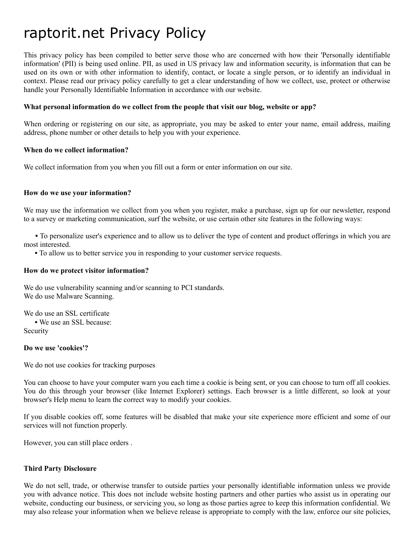# raptorit.net Privacy Policy

This privacy policy has been compiled to better serve those who are concerned with how their 'Personally identifiable information' (PII) is being used online. PII, as used in US privacy law and information security, is information that can be used on its own or with other information to identify, contact, or locate a single person, or to identify an individual in context. Please read our privacy policy carefully to get a clear understanding of how we collect, use, protect or otherwise handle your Personally Identifiable Information in accordance with our website.

#### **What personal information do we collect from the people that visit our blog, website or app?**

When ordering or registering on our site, as appropriate, you may be asked to enter your name, email address, mailing address, phone number or other details to help you with your experience.

#### **When do we collect information?**

We collect information from you when you fill out a form or enter information on our site.

#### **How do we use your information?**

We may use the information we collect from you when you register, make a purchase, sign up for our newsletter, respond to a survey or marketing communication, surf the website, or use certain other site features in the following ways:

**•** To personalize user's experience and to allow us to deliver the type of content and product offerings in which you are most interested.

**•** To allow us to better service you in responding to your customer service requests.

#### **How do we protect visitor information?**

We do use vulnerability scanning and/or scanning to PCI standards. We do use Malware Scanning.

We do use an SSL certificate **•** We use an SSL because: Security

#### **Do we use 'cookies'?**

We do not use cookies for tracking purposes

You can choose to have your computer warn you each time a cookie is being sent, or you can choose to turn off all cookies. You do this through your browser (like Internet Explorer) settings. Each browser is a little different, so look at your browser's Help menu to learn the correct way to modify your cookies.

If you disable cookies off, some features will be disabled that make your site experience more efficient and some of our services will not function properly.

However, you can still place orders .

## **Third Party Disclosure**

We do not sell, trade, or otherwise transfer to outside parties your personally identifiable information unless we provide you with advance notice. This does not include website hosting partners and other parties who assist us in operating our website, conducting our business, or servicing you, so long as those parties agree to keep this information confidential. We may also release your information when we believe release is appropriate to comply with the law, enforce our site policies,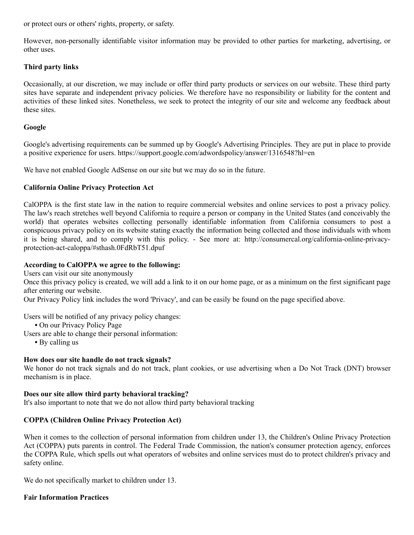or protect ours or others' rights, property, or safety.

However, non-personally identifiable visitor information may be provided to other parties for marketing, advertising, or other uses.

# **Third party links**

Occasionally, at our discretion, we may include or offer third party products or services on our website. These third party sites have separate and independent privacy policies. We therefore have no responsibility or liability for the content and activities of these linked sites. Nonetheless, we seek to protect the integrity of our site and welcome any feedback about these sites.

## **Google**

Google's advertising requirements can be summed up by Google's Advertising Principles. They are put in place to provide a positive experience for users. https://support.google.com/adwordspolicy/answer/1316548?hl=en

We have not enabled Google AdSense on our site but we may do so in the future.

## **California Online Privacy Protection Act**

CalOPPA is the first state law in the nation to require commercial websites and online services to post a privacy policy. The law's reach stretches well beyond California to require a person or company in the United States (and conceivably the world) that operates websites collecting personally identifiable information from California consumers to post a conspicuous privacy policy on its website stating exactly the information being collected and those individuals with whom it is being shared, and to comply with this policy. - See more at: http://consumercal.org/california-online-privacyprotection-act-caloppa/#sthash.0FdRbT51.dpuf

## **According to CalOPPA we agree to the following:**

Users can visit our site anonymously

Once this privacy policy is created, we will add a link to it on our home page, or as a minimum on the first significant page after entering our website.

Our Privacy Policy link includes the word 'Privacy', and can be easily be found on the page specified above.

Users will be notified of any privacy policy changes:

- **•** On our Privacy Policy Page
- Users are able to change their personal information:
	- **•** By calling us

## **How does our site handle do not track signals?**

We honor do not track signals and do not track, plant cookies, or use advertising when a Do Not Track (DNT) browser mechanism is in place.

## **Does our site allow third party behavioral tracking?**

It's also important to note that we do not allow third party behavioral tracking

# **COPPA (Children Online Privacy Protection Act)**

When it comes to the collection of personal information from children under 13, the Children's Online Privacy Protection Act (COPPA) puts parents in control. The Federal Trade Commission, the nation's consumer protection agency, enforces the COPPA Rule, which spells out what operators of websites and online services must do to protect children's privacy and safety online.

We do not specifically market to children under 13.

## **Fair Information Practices**